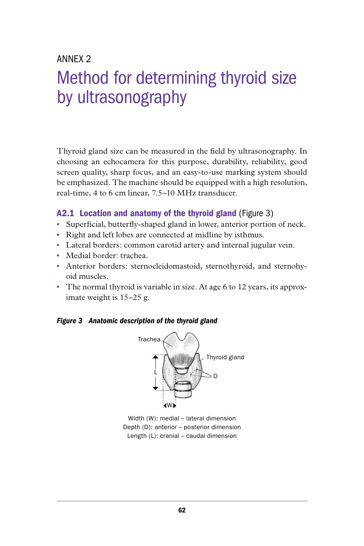# ANNFX<sub>2</sub>

# Method for determining thyroid size by ultrasonography

Thyroid gland size can be measured in the field by ultrasonography. In choosing an echocamera for this purpose, durability, reliability, good screen quality, sharp focus, and an easy-to-use marking system should be emphasized. The machine should be equipped with a high resolution, real-time, 4 to 6 cm linear, 7.5–10 MHz transducer.

#### A2.1 Location and anatomy of the thyroid gland (Figure 3)

- Superficial, butterfly-shaped gland in lower, anterior portion of neck.
- Right and left lobes are connected at midline by isthmus.
- Lateral borders: common carotid artery and internal jugular vein.
- Medial border: trachea.
- Anterior borders: sternocleidomastoid, sternothyroid, and sternohyoid muscles.
- The normal thyroid is variable in size. At age 6 to 12 years, its approximate weight is 15–25 g.

#### *Figure 3 Anatomic description of the thyroid gland*



Width (W): medial – lateral dimension Depth (D): anterior – posterior dimension Length (L): cranial – caudal dimension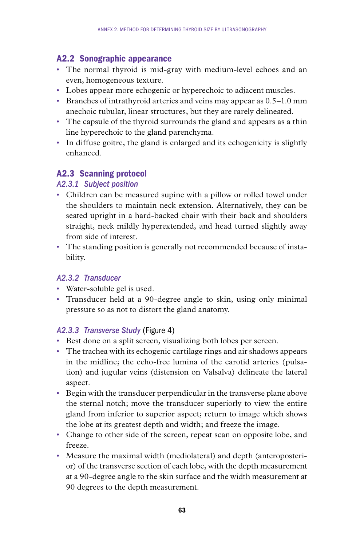# A2.2 Sonographic appearance

- The normal thyroid is mid-gray with medium-level echoes and an even, homogeneous texture.
- Lobes appear more echogenic or hyperechoic to adjacent muscles.
- Branches of intrathyroid arteries and veins may appear as 0.5–1.0 mm anechoic tubular, linear structures, but they are rarely delineated.
- The capsule of the thyroid surrounds the gland and appears as a thin line hyperechoic to the gland parenchyma.
- In diffuse goitre, the gland is enlarged and its echogenicity is slightly enhanced.

# A2.3 Scanning protocol

## *A2.3.1 Subject position*

- Children can be measured supine with a pillow or rolled towel under the shoulders to maintain neck extension. Alternatively, they can be seated upright in a hard-backed chair with their back and shoulders straight, neck mildly hyperextended, and head turned slightly away from side of interest.
- The standing position is generally not recommended because of instability.

# *A2.3.2 Transducer*

- Water-soluble gel is used.
- Transducer held at a 90-degree angle to skin, using only minimal pressure so as not to distort the gland anatomy.

# *A2.3.3 Transverse Study* (Figure 4)

- Best done on a split screen, visualizing both lobes per screen.
- The trachea with its echogenic cartilage rings and air shadows appears in the midline; the echo-free lumina of the carotid arteries (pulsation) and jugular veins (distension on Valsalva) delineate the lateral aspect.
- Begin with the transducer perpendicular in the transverse plane above the sternal notch; move the transducer superiorly to view the entire gland from inferior to superior aspect; return to image which shows the lobe at its greatest depth and width; and freeze the image.
- Change to other side of the screen, repeat scan on opposite lobe, and freeze.
- Measure the maximal width (mediolateral) and depth (anteroposterior) of the transverse section of each lobe, with the depth measurement at a 90-degree angle to the skin surface and the width measurement at 90 degrees to the depth measurement.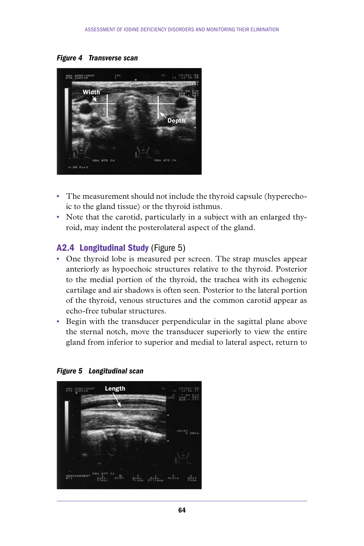*Figure 4 Transverse scan*



- The measurement should not include the thyroid capsule (hyperechoic to the gland tissue) or the thyroid isthmus.
- Note that the carotid, particularly in a subject with an enlarged thyroid, may indent the posterolateral aspect of the gland.

#### A2.4 Longitudinal Study (Figure 5)

- One thyroid lobe is measured per screen. The strap muscles appear anteriorly as hypoechoic structures relative to the thyroid. Posterior to the medial portion of the thyroid, the trachea with its echogenic cartilage and air shadows is often seen. Posterior to the lateral portion of the thyroid, venous structures and the common carotid appear as echo-free tubular structures.
- Begin with the transducer perpendicular in the sagittal plane above the sternal notch, move the transducer superiorly to view the entire gland from inferior to superior and medial to lateral aspect, return to



*Figure 5 Longitudinal scan*